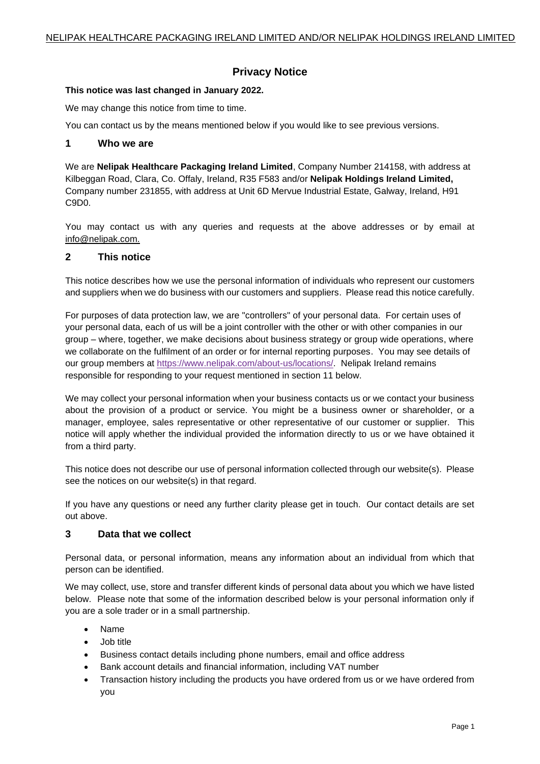# **Privacy Notice**

### **This notice was last changed in January 2022.**

We may change this notice from time to time.

You can contact us by the means mentioned below if you would like to see previous versions.

### **1 Who we are**

We are **Nelipak Healthcare Packaging Ireland Limited**, Company Number 214158, with address at Kilbeggan Road, Clara, Co. Offaly, Ireland, R35 F583 and/or **Nelipak Holdings Ireland Limited,** Company number 231855, with address at Unit 6D Mervue Industrial Estate, Galway, Ireland, H91 C9D0.

You may contact us with any queries and requests at the above addresses or by email at info@nelipak.com.

## **2 This notice**

This notice describes how we use the personal information of individuals who represent our customers and suppliers when we do business with our customers and suppliers. Please read this notice carefully.

For purposes of data protection law, we are "controllers" of your personal data. For certain uses of your personal data, each of us will be a joint controller with the other or with other companies in our group – where, together, we make decisions about business strategy or group wide operations, where we collaborate on the fulfilment of an order or for internal reporting purposes. You may see details of our group members at [https://www.nelipak.com/about-us/locations/.](https://www.nelipak.com/about-us/locations/) Nelipak Ireland remains responsible for responding to your request mentioned in section 11 below.

We may collect your personal information when your business contacts us or we contact your business about the provision of a product or service. You might be a business owner or shareholder, or a manager, employee, sales representative or other representative of our customer or supplier. This notice will apply whether the individual provided the information directly to us or we have obtained it from a third party.

This notice does not describe our use of personal information collected through our website(s). Please see the notices on our website(s) in that regard.

If you have any questions or need any further clarity please get in touch. Our contact details are set out above.

# **3 Data that we collect**

Personal data, or personal information, means any information about an individual from which that person can be identified.

We may collect, use, store and transfer different kinds of personal data about you which we have listed below. Please note that some of the information described below is your personal information only if you are a sole trader or in a small partnership.

- Name
- Job title
- Business contact details including phone numbers, email and office address
- Bank account details and financial information, including VAT number
- Transaction history including the products you have ordered from us or we have ordered from you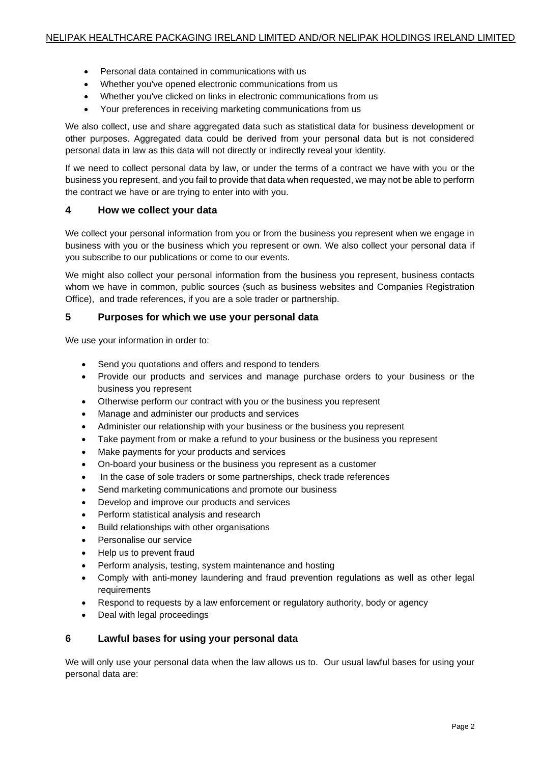- Personal data contained in communications with us
- Whether you've opened electronic communications from us
- Whether you've clicked on links in electronic communications from us
- Your preferences in receiving marketing communications from us

We also collect, use and share aggregated data such as statistical data for business development or other purposes. Aggregated data could be derived from your personal data but is not considered personal data in law as this data will not directly or indirectly reveal your identity.

If we need to collect personal data by law, or under the terms of a contract we have with you or the business you represent, and you fail to provide that data when requested, we may not be able to perform the contract we have or are trying to enter into with you.

## **4 How we collect your data**

We collect your personal information from you or from the business you represent when we engage in business with you or the business which you represent or own. We also collect your personal data if you subscribe to our publications or come to our events.

We might also collect your personal information from the business you represent, business contacts whom we have in common, public sources (such as business websites and Companies Registration Office), and trade references, if you are a sole trader or partnership.

## **5 Purposes for which we use your personal data**

We use your information in order to:

- Send you quotations and offers and respond to tenders
- Provide our products and services and manage purchase orders to your business or the business you represent
- Otherwise perform our contract with you or the business you represent
- Manage and administer our products and services
- Administer our relationship with your business or the business you represent
- Take payment from or make a refund to your business or the business you represent
- Make payments for your products and services
- On-board your business or the business you represent as a customer
- In the case of sole traders or some partnerships, check trade references
- Send marketing communications and promote our business
- Develop and improve our products and services
- Perform statistical analysis and research
- Build relationships with other organisations
- Personalise our service
- Help us to prevent fraud
- Perform analysis, testing, system maintenance and hosting
- Comply with anti-money laundering and fraud prevention regulations as well as other legal requirements
- Respond to requests by a law enforcement or regulatory authority, body or agency
- Deal with legal proceedings

## **6 Lawful bases for using your personal data**

We will only use your personal data when the law allows us to. Our usual lawful bases for using your personal data are: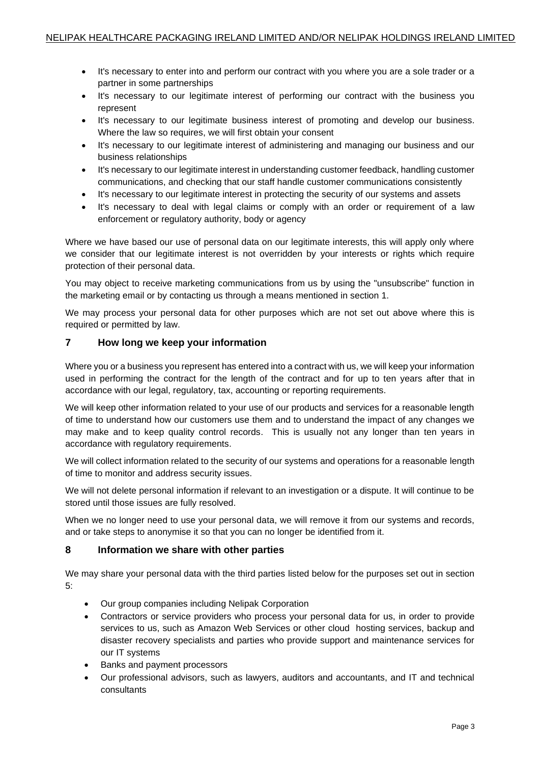- It's necessary to enter into and perform our contract with you where you are a sole trader or a partner in some partnerships
- It's necessary to our legitimate interest of performing our contract with the business you represent
- It's necessary to our legitimate business interest of promoting and develop our business. Where the law so requires, we will first obtain your consent
- It's necessary to our legitimate interest of administering and managing our business and our business relationships
- It's necessary to our legitimate interest in understanding customer feedback, handling customer communications, and checking that our staff handle customer communications consistently
- It's necessary to our legitimate interest in protecting the security of our systems and assets
- It's necessary to deal with legal claims or comply with an order or requirement of a law enforcement or regulatory authority, body or agency

Where we have based our use of personal data on our legitimate interests, this will apply only where we consider that our legitimate interest is not overridden by your interests or rights which require protection of their personal data.

You may object to receive marketing communications from us by using the "unsubscribe" function in the marketing email or by contacting us through a means mentioned in section 1.

We may process your personal data for other purposes which are not set out above where this is required or permitted by law.

## **7 How long we keep your information**

Where you or a business you represent has entered into a contract with us, we will keep your information used in performing the contract for the length of the contract and for up to ten years after that in accordance with our legal, regulatory, tax, accounting or reporting requirements.

We will keep other information related to your use of our products and services for a reasonable length of time to understand how our customers use them and to understand the impact of any changes we may make and to keep quality control records. This is usually not any longer than ten years in accordance with regulatory requirements.

We will collect information related to the security of our systems and operations for a reasonable length of time to monitor and address security issues.

We will not delete personal information if relevant to an investigation or a dispute. It will continue to be stored until those issues are fully resolved.

When we no longer need to use your personal data, we will remove it from our systems and records, and or take steps to anonymise it so that you can no longer be identified from it.

#### **8 Information we share with other parties**

We may share your personal data with the third parties listed below for the purposes set out in section 5:

- Our group companies including Nelipak Corporation
- Contractors or service providers who process your personal data for us, in order to provide services to us, such as Amazon Web Services or other cloud hosting services, backup and disaster recovery specialists and parties who provide support and maintenance services for our IT systems
- Banks and payment processors
- Our professional advisors, such as lawyers, auditors and accountants, and IT and technical consultants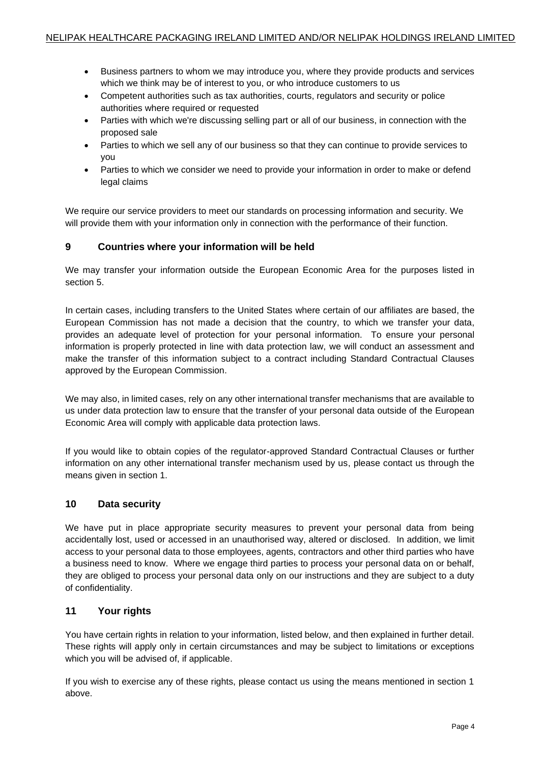- Business partners to whom we may introduce you, where they provide products and services which we think may be of interest to you, or who introduce customers to us
- Competent authorities such as tax authorities, courts, regulators and security or police authorities where required or requested
- Parties with which we're discussing selling part or all of our business, in connection with the proposed sale
- Parties to which we sell any of our business so that they can continue to provide services to you
- Parties to which we consider we need to provide your information in order to make or defend legal claims

We require our service providers to meet our standards on processing information and security. We will provide them with your information only in connection with the performance of their function.

## **9 Countries where your information will be held**

We may transfer your information outside the European Economic Area for the purposes listed in section 5.

In certain cases, including transfers to the United States where certain of our affiliates are based, the European Commission has not made a decision that the country, to which we transfer your data, provides an adequate level of protection for your personal information. To ensure your personal information is properly protected in line with data protection law, we will conduct an assessment and make the transfer of this information subject to a contract including Standard Contractual Clauses approved by the European Commission.

We may also, in limited cases, rely on any other international transfer mechanisms that are available to us under data protection law to ensure that the transfer of your personal data outside of the European Economic Area will comply with applicable data protection laws.

If you would like to obtain copies of the regulator-approved Standard Contractual Clauses or further information on any other international transfer mechanism used by us, please contact us through the means given in section 1.

#### **10 Data security**

We have put in place appropriate security measures to prevent your personal data from being accidentally lost, used or accessed in an unauthorised way, altered or disclosed. In addition, we limit access to your personal data to those employees, agents, contractors and other third parties who have a business need to know. Where we engage third parties to process your personal data on or behalf, they are obliged to process your personal data only on our instructions and they are subject to a duty of confidentiality.

## **11 Your rights**

You have certain rights in relation to your information, listed below, and then explained in further detail. These rights will apply only in certain circumstances and may be subject to limitations or exceptions which you will be advised of, if applicable.

If you wish to exercise any of these rights, please contact us using the means mentioned in section 1 above.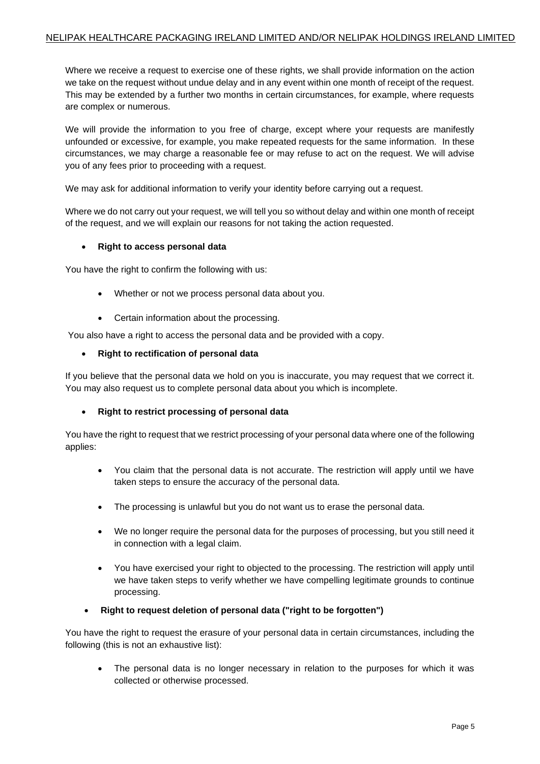Where we receive a request to exercise one of these rights, we shall provide information on the action we take on the request without undue delay and in any event within one month of receipt of the request. This may be extended by a further two months in certain circumstances, for example, where requests are complex or numerous.

We will provide the information to you free of charge, except where your requests are manifestly unfounded or excessive, for example, you make repeated requests for the same information. In these circumstances, we may charge a reasonable fee or may refuse to act on the request. We will advise you of any fees prior to proceeding with a request.

We may ask for additional information to verify your identity before carrying out a request.

Where we do not carry out your request, we will tell you so without delay and within one month of receipt of the request, and we will explain our reasons for not taking the action requested.

#### • **Right to access personal data**

You have the right to confirm the following with us:

- Whether or not we process personal data about you.
- Certain information about the processing.

You also have a right to access the personal data and be provided with a copy.

• **Right to rectification of personal data**

If you believe that the personal data we hold on you is inaccurate, you may request that we correct it. You may also request us to complete personal data about you which is incomplete.

#### • **Right to restrict processing of personal data**

You have the right to request that we restrict processing of your personal data where one of the following applies:

- You claim that the personal data is not accurate. The restriction will apply until we have taken steps to ensure the accuracy of the personal data.
- The processing is unlawful but you do not want us to erase the personal data.
- We no longer require the personal data for the purposes of processing, but you still need it in connection with a legal claim.
- You have exercised your right to objected to the processing. The restriction will apply until we have taken steps to verify whether we have compelling legitimate grounds to continue processing.
- **Right to request deletion of personal data ("right to be forgotten")**

You have the right to request the erasure of your personal data in certain circumstances, including the following (this is not an exhaustive list):

The personal data is no longer necessary in relation to the purposes for which it was collected or otherwise processed.